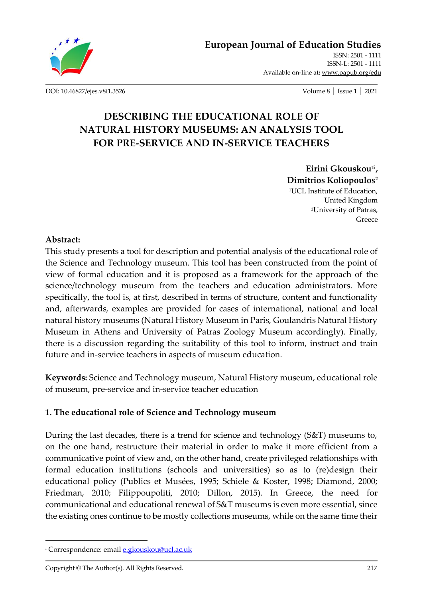

[DOI: 10.46827/ejes.v8i1.3526](http://dx.doi.org/10.46827/ejes.v8i1.3526) Volume 8 │ Issue 1 │ 2021

Available on-line at**:** [www.oapub.org/edu](http://www.oapub.org/edu)

# **DESCRIBING THE EDUCATIONAL ROLE OF NATURAL HISTORY MUSEUMS: AN ANALYSIS TOOL FOR PRE-SERVICE AND IN-SERVICE TEACHERS**

**Eirini Gkouskou1i , Dimitrios Koliopoulos<sup>2</sup>** <sup>1</sup>UCL Institute of Education, United Kingdom <sup>2</sup>University of Patras, Greece

### **Abstract:**

This study presents a tool for description and potential analysis of the educational role of the Science and Technology museum. This tool has been constructed from the point of view of formal education and it is proposed as a framework for the approach of the science/technology museum from the teachers and education administrators. More specifically, the tool is, at first, described in terms of structure, content and functionality and, afterwards, examples are provided for cases of international, national and local natural history museums (Natural History Museum in Paris, Goulandris Natural History Museum in Athens and University of Patras Zoology Museum accordingly). Finally, there is a discussion regarding the suitability of this tool to inform, instruct and train future and in-service teachers in aspects of museum education*.*

**Keywords:** Science and Technology museum, Natural History museum, educational role of museum, pre-service and in-service teacher education

# **1. The educational role of Science and Technology museum**

During the last decades, there is a trend for science and technology (S&T) museums to, on the one hand, restructure their material in order to make it more efficient from a communicative point of view and, on the other hand, create privileged relationships with formal education institutions (schools and universities) so as to (re)design their educational policy (Publics et Musées, 1995; Schiele & Koster, 1998; Diamond, 2000; Friedman, 2010; Filippoupoliti, 2010; Dillon, 2015). In Greece, the need for communicational and educational renewal of S&T museums is even more essential, since the existing ones continue to be mostly collections museums, while on the same time their

<sup>i</sup> Correspondence: emai[l e.gkouskou@ucl.ac.uk](mailto:e.gkouskou@ucl.ac.uk)

Copyright © The Author(s). All Rights Reserved. 217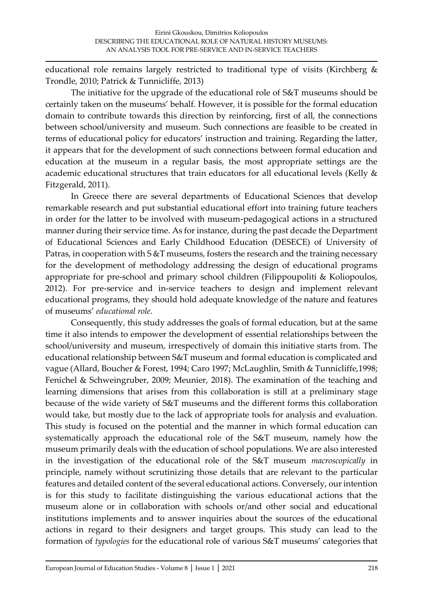educational role remains largely restricted to traditional type of visits (Kirchberg & Trondle, 2010; Patrick & Tunnicliffe, 2013)

The initiative for the upgrade of the educational role of S&T museums should be certainly taken on the museums' behalf. However, it is possible for the formal education domain to contribute towards this direction by reinforcing, first of all, the connections between school/university and museum. Such connections are feasible to be created in terms of educational policy for educators' instruction and training. Regarding the latter, it appears that for the development of such connections between formal education and education at the museum in a regular basis, the most appropriate settings are the academic educational structures that train educators for all educational levels (Kelly & Fitzgerald, 2011).

In Greece there are several departments of Educational Sciences that develop remarkable research and put substantial educational effort into training future teachers in order for the latter to be involved with museum-pedagogical actions in a structured manner during their service time. As for instance, during the past decade the Department of Educational Sciences and Early Childhood Education (DESECE) of University of Patras, in cooperation with S &T museums, fosters the research and the training necessary for the development of methodology addressing the design of educational programs appropriate for pre-school and primary school children (Filippoupoliti & Koliopoulos, 2012). For pre-service and in-service teachers to design and implement relevant educational programs, they should hold adequate knowledge of the nature and features of museums' *educational role*.

Consequently, this study addresses the goals of formal education, but at the same time it also intends to empower the development of essential relationships between the school/university and museum, irrespectively of domain this initiative starts from. The educational relationship between S&T museum and formal education is complicated and vague (Allard, Boucher & Forest, 1994; Caro 1997; McLaughlin, Smith & Tunnicliffe,1998; Fenichel & Schweingruber, 2009; Meunier, 2018). The examination of the teaching and learning dimensions that arises from this collaboration is still at a preliminary stage because of the wide variety of S&T museums and the different forms this collaboration would take, but mostly due to the lack of appropriate tools for analysis and evaluation. This study is focused on the potential and the manner in which formal education can systematically approach the educational role of the S&T museum, namely how the museum primarily deals with the education of school populations. We are also interested in the investigation of the educational role of the S&T museum *macroscopically* in principle, namely without scrutinizing those details that are relevant to the particular features and detailed content of the several educational actions. Conversely, our intention is for this study to facilitate distinguishing the various educational actions that the museum alone or in collaboration with schools or/and other social and educational institutions implements and to answer inquiries about the sources of the educational actions in regard to their designers and target groups. This study can lead to the formation of *typologies* for the educational role of various S&T museums' categories that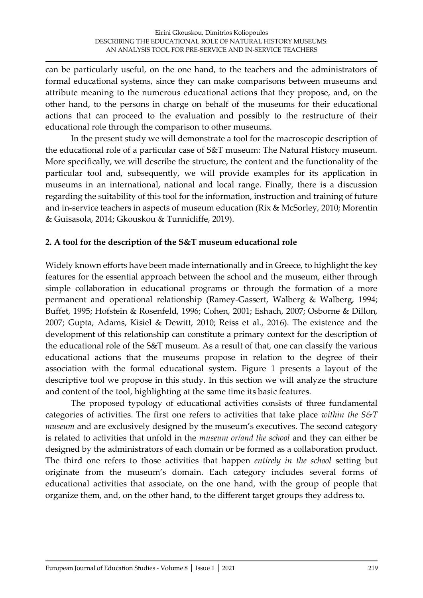can be particularly useful, on the one hand, to the teachers and the administrators of formal educational systems, since they can make comparisons between museums and attribute meaning to the numerous educational actions that they propose, and, on the other hand, to the persons in charge on behalf of the museums for their educational actions that can proceed to the evaluation and possibly to the restructure of their educational role through the comparison to other museums.

In the present study we will demonstrate a tool for the macroscopic description of the educational role of a particular case of S&T museum: The Natural History museum. More specifically, we will describe the structure, the content and the functionality of the particular tool and, subsequently, we will provide examples for its application in museums in an international, national and local range. Finally, there is a discussion regarding the suitability of this tool for the information, instruction and training of future and in-service teachers in aspects of museum education (Rix & McSorley, 2010; Morentin & Guisasola, 2014; Gkouskou & Tunnicliffe, 2019).

# **2. A tool for the description of the S&T museum educational role**

Widely known efforts have been made internationally and in Greece, to highlight the key features for the essential approach between the school and the museum, either through simple collaboration in educational programs or through the formation of a more permanent and operational relationship (Ramey-Gassert, Walberg & Walberg, 1994; Buffet, 1995; Hofstein & Rosenfeld, 1996; Cohen, 2001; Eshach, 2007; Osborne & Dillon, 2007; Gupta, Adams, Kisiel & Dewitt, 2010; Reiss et al., 2016). The existence and the development of this relationship can constitute a primary context for the description of the educational role of the S&T museum. As a result of that, one can classify the various educational actions that the museums propose in relation to the degree of their association with the formal educational system. Figure 1 presents a layout of the descriptive tool we propose in this study. In this section we will analyze the structure and content of the tool, highlighting at the same time its basic features.

The proposed typology of educational activities consists of three fundamental categories of activities. The first one refers to activities that take place *within the S&T museum* and are exclusively designed by the museum's executives. The second category is related to activities that unfold in the *museum or/and the school* and they can either be designed by the administrators of each domain or be formed as a collaboration product. The third one refers to those activities that happen *entirely in the school* setting but originate from the museum's domain. Each category includes several forms of educational activities that associate, on the one hand, with the group of people that organize them, and, on the other hand, to the different target groups they address to.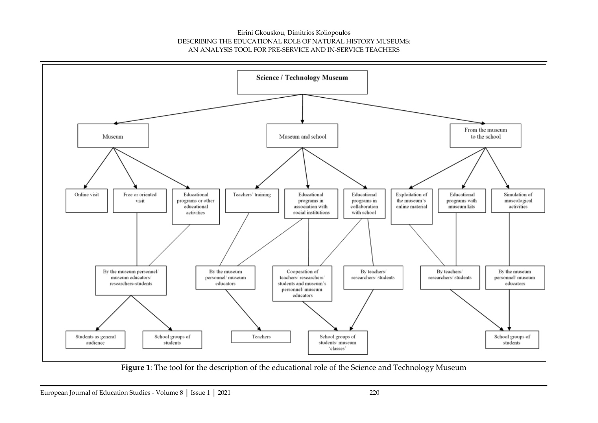

**Figure 1**: The tool for the description of the educational role of the Science and Technology Museum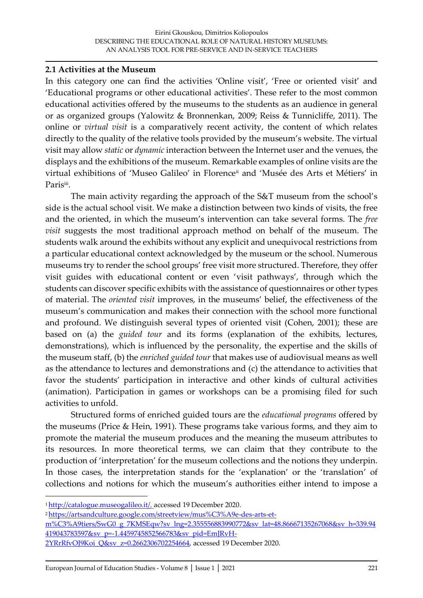### **2.1 Activities at the Museum**

In this category one can find the activities 'Online visit', 'Free or oriented visit' and 'Educational programs or other educational activities'. These refer to the most common educational activities offered by the museums to the students as an audience in general or as organized groups (Yalowitz & Bronnenkan, 2009; Reiss & Tunnicliffe, 2011). The online or *virtual visit* is a comparatively recent activity, the content of which relates directly to the quality of the relative tools provided by the museum's website. The virtual visit may allow *static* or *dynamic* interaction between the Internet user and the venues, the displays and the exhibitions of the museum. Remarkable examples of online visits are the virtual exhibitions of 'Museo Galileo' in Florenceii and 'Musée des Arts et Métiers' in Paris<sup>iii</sup>.

The main activity regarding the approach of the S&T museum from the school's side is the actual school visit. We make a distinction between two kinds of visits, the free and the oriented, in which the museum's intervention can take several forms. The *free visit* suggests the most traditional approach method on behalf of the museum. The students walk around the exhibits without any explicit and unequivocal restrictions from a particular educational context acknowledged by the museum or the school. Numerous museums try to render the school groups' free visit more structured. Therefore, they offer visit guides with educational content or even 'visit pathways', through which the students can discover specific exhibits with the assistance of questionnaires or other types of material. The *oriented visit* improves, in the museums' belief, the effectiveness of the museum's communication and makes their connection with the school more functional and profound. We distinguish several types of oriented visit (Cohen, 2001); these are based on (a) the *guided tour* and its forms (explanation of the exhibits, lectures, demonstrations), which is influenced by the personality, the expertise and the skills of the museum staff, (b) the *enriched guided tour* that makes use of audiovisual means as well as the attendance to lectures and demonstrations and (c) the attendance to activities that favor the students' participation in interactive and other kinds of cultural activities (animation). Participation in games or workshops can be a promising filed for such activities to unfold.

Structured forms of enriched guided tours are the *educational programs* offered by the museums (Price & Hein, 1991). These programs take various forms, and they aim to promote the material the museum produces and the meaning the museum attributes to its resources. In more theoretical terms, we can claim that they contribute to the production of 'interpretation' for the museum collections and the notions they underpin. In those cases, the interpretation stands for the 'explanation' or the 'translation' of collections and notions for which the museum's authorities either intend to impose a

<sup>1</sup>[http://catalogue.museogalileo.it/,](http://catalogue.museogalileo.it/) accessed 19 December 2020.

<sup>2</sup> [https://artsandculture.google.com/streetview/mus%C3%A9e-des-arts-et-](https://artsandculture.google.com/streetview/mus%C3%A9e-des-arts-et-m%C3%A9tiers/SwG0_g_7KMSEqw?sv_lng=2.355556883990772&sv_lat=48.86667135267068&sv_h=339.94419043783597&sv_p=-1.4459745852566783&sv_pid=EmJRvH-2YRrRfvOJ9Koi_Q&sv_z=0.2662306702254664)

[m%C3%A9tiers/SwG0\\_g\\_7KMSEqw?sv\\_lng=2.355556883990772&sv\\_lat=48.86667135267068&sv\\_h=339.94](https://artsandculture.google.com/streetview/mus%C3%A9e-des-arts-et-m%C3%A9tiers/SwG0_g_7KMSEqw?sv_lng=2.355556883990772&sv_lat=48.86667135267068&sv_h=339.94419043783597&sv_p=-1.4459745852566783&sv_pid=EmJRvH-2YRrRfvOJ9Koi_Q&sv_z=0.2662306702254664) [419043783597&sv\\_p=-1.4459745852566783&sv\\_pid=EmJRvH-](https://artsandculture.google.com/streetview/mus%C3%A9e-des-arts-et-m%C3%A9tiers/SwG0_g_7KMSEqw?sv_lng=2.355556883990772&sv_lat=48.86667135267068&sv_h=339.94419043783597&sv_p=-1.4459745852566783&sv_pid=EmJRvH-2YRrRfvOJ9Koi_Q&sv_z=0.2662306702254664)

[<sup>2</sup>YRrRfvOJ9Koi\\_Q&sv\\_z=0.2662306702254664,](https://artsandculture.google.com/streetview/mus%C3%A9e-des-arts-et-m%C3%A9tiers/SwG0_g_7KMSEqw?sv_lng=2.355556883990772&sv_lat=48.86667135267068&sv_h=339.94419043783597&sv_p=-1.4459745852566783&sv_pid=EmJRvH-2YRrRfvOJ9Koi_Q&sv_z=0.2662306702254664) accessed 19 December 2020.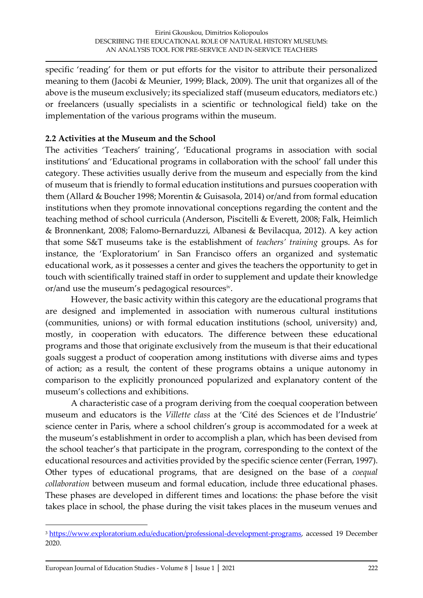specific 'reading' for them or put efforts for the visitor to attribute their personalized meaning to them (Jacobi & Meunier, 1999; Black, 2009). The unit that organizes all of the above is the museum exclusively; its specialized staff (museum educators, mediators etc.) or freelancers (usually specialists in a scientific or technological field) take on the implementation of the various programs within the museum.

# **2.2 Activities at the Museum and the School**

The activities 'Teachers' training', 'Educational programs in association with social institutions' and 'Educational programs in collaboration with the school' fall under this category. These activities usually derive from the museum and especially from the kind of museum that is friendly to formal education institutions and pursues cooperation with them (Allard & Boucher 1998; Morentin & Guisasola, 2014) or/and from formal education institutions when they promote innovational conceptions regarding the content and the teaching method of school curricula (Anderson, Piscitelli & Everett, 2008; Falk, Heimlich & Bronnenkant, 2008; Falomo-Bernarduzzi, Albanesi & Bevilacqua, 2012). A key action that some S&T museums take is the establishment of *teachers' training* groups. As for instance, the 'Exploratorium' in San Francisco offers an organized and systematic educational work, as it possesses a center and gives the teachers the opportunity to get in touch with scientifically trained staff in order to supplement and update their knowledge or/and use the museum's pedagogical resourcesiv .

However, the basic activity within this category are the educational programs that are designed and implemented in association with numerous cultural institutions (communities, unions) or with formal education institutions (school, university) and, mostly, in cooperation with educators. The difference between these educational programs and those that originate exclusively from the museum is that their educational goals suggest a product of cooperation among institutions with diverse aims and types of action; as a result, the content of these programs obtains a unique autonomy in comparison to the explicitly pronounced popularized and explanatory content of the museum's collections and exhibitions.

A characteristic case of a program deriving from the coequal cooperation between museum and educators is the *Villette class* at the 'Cité des Sciences et de l'Industrie' science center in Paris, where a school children's group is accommodated for a week at the museum's establishment in order to accomplish a plan, which has been devised from the school teacher's that participate in the program, corresponding to the context of the educational resources and activities provided by the specific science center (Ferran, 1997). Other types of educational programs, that are designed on the base of a *coequal collaboration* between museum and formal education, include three educational phases. These phases are developed in different times and locations: the phase before the visit takes place in school, the phase during the visit takes places in the museum venues and

<sup>&</sup>lt;sup>3</sup> [https://www.exploratorium.edu/education/professional-development-programs,](https://www.exploratorium.edu/education/professional-development-programs) accessed 19 December 2020.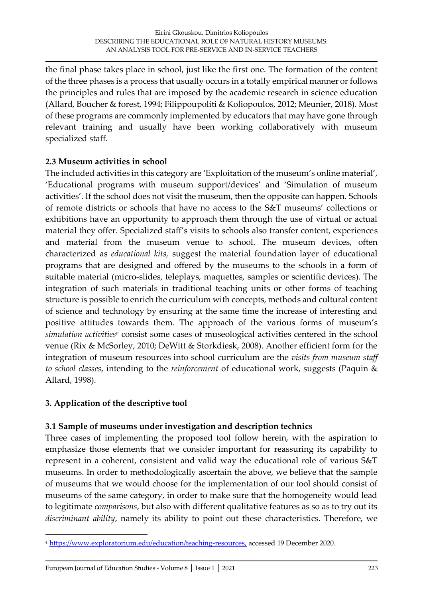the final phase takes place in school, just like the first one. The formation of the content of the three phases is a process that usually occurs in a totally empirical manner or follows the principles and rules that are imposed by the academic research in science education (Allard, Boucher & forest, 1994; Filippoupoliti & Koliopoulos, 2012; Meunier, 2018). Most of these programs are commonly implemented by educators that may have gone through relevant training and usually have been working collaboratively with museum specialized staff.

### **2.3 Museum activities in school**

The included activities in this category are 'Exploitation of the museum's online material', 'Educational programs with museum support/devices' and 'Simulation of museum activities'. If the school does not visit the museum, then the opposite can happen. Schools of remote districts or schools that have no access to the S&T museums' collections or exhibitions have an opportunity to approach them through the use of virtual or actual material they offer. Specialized staff's visits to schools also transfer content, experiences and material from the museum venue to school. The museum devices, often characterized as *educational kits,* suggest the material foundation layer of educational programs that are designed and offered by the museums to the schools in a form of suitable material (micro-slides, teleplays, maquettes, samples or scientific devices). The integration of such materials in traditional teaching units or other forms of teaching structure is possible to enrich the curriculum with concepts, methods and cultural content of science and technology by ensuring at the same time the increase of interesting and positive attitudes towards them. The approach of the various forms of museum's *simulation activities<sup>v</sup>* consist some cases of museological activities centered in the school venue (Rix & McSorley, 2010; DeWitt & Storkdiesk, 2008). Another efficient form for the integration of museum resources into school curriculum are the *visits from museum staff to school classes*, intending to the *reinforcement* of educational work, suggests (Paquin & Allard, 1998).

### **3. Application of the descriptive tool**

### **3.1 Sample of museums under investigation and description technics**

Three cases of implementing the proposed tool follow herein, with the aspiration to emphasize those elements that we consider important for reassuring its capability to represent in a coherent, consistent and valid way the educational role of various S&T museums. In order to methodologically ascertain the above, we believe that the sample of museums that we would choose for the implementation of our tool should consist of museums of the same category, in order to make sure that the homogeneity would lead to legitimate *comparisons*, but also with different qualitative features as so as to try out its *discriminant ability*, namely its ability to point out these characteristics. Therefore, we

<sup>4</sup> [https://www.exploratorium.edu/education/teaching-resources,](https://www.exploratorium.edu/education/teaching-resources) accessed 19 December 2020.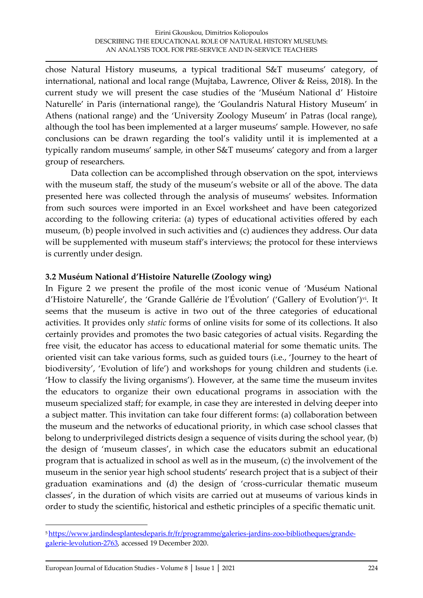chose Natural History museums, a typical traditional S&T museums' category, of international, national and local range (Mujtaba, Lawrence, Oliver & Reiss, 2018). In the current study we will present the case studies of the 'Muséum National d' Histoire Naturelle' in Paris (international range), the 'Goulandris Natural History Museum' in Athens (national range) and the 'University Zoology Museum' in Patras (local range), although the tool has been implemented at a larger museums' sample. However, no safe conclusions can be drawn regarding the tool's validity until it is implemented at a typically random museums' sample, in other S&T museums' category and from a larger group of researchers.

Data collection can be accomplished through observation on the spot, interviews with the museum staff, the study of the museum's website or all of the above. The data presented here was collected through the analysis of museums' websites. Information from such sources were imported in an Excel worksheet and have been categorized according to the following criteria: (a) types of educational activities offered by each museum, (b) people involved in such activities and (c) audiences they address. Our data will be supplemented with museum staff's interviews; the protocol for these interviews is currently under design.

### **3.2 Muséum National d'Histoire Naturelle (Zoology wing)**

In Figure 2 we present the profile of the most iconic venue of 'Muséum National d'Histoire Naturelle', the 'Grande Gallérie de l'Évolution' ('Gallery of Evolution')vi. It seems that the museum is active in two out of the three categories of educational activities. It provides only *static* forms of online visits for some of its collections. It also certainly provides and promotes the two basic categories of actual visits. Regarding the free visit, the educator has access to educational material for some thematic units. The oriented visit can take various forms, such as guided tours (i.e., 'Journey to the heart of biodiversity', 'Evolution of life') and workshops for young children and students (i.e. 'How to classify the living organisms'). However, at the same time the museum invites the educators to organize their own educational programs in association with the museum specialized staff; for example, in case they are interested in delving deeper into a subject matter. This invitation can take four different forms: (a) collaboration between the museum and the networks of educational priority, in which case school classes that belong to underprivileged districts design a sequence of visits during the school year, (b) the design of 'museum classes', in which case the educators submit an educational program that is actualized in school as well as in the museum, (c) the involvement of the museum in the senior year high school students' research project that is a subject of their graduation examinations and (d) the design of 'cross-curricular thematic museum classes', in the duration of which visits are carried out at museums of various kinds in order to study the scientific, historical and esthetic principles of a specific thematic unit.

<sup>5</sup> [https://www.jardindesplantesdeparis.fr/fr/programme/galeries-jardins-zoo-bibliotheques/grande](https://www.jardindesplantesdeparis.fr/fr/programme/galeries-jardins-zoo-bibliotheques/grande-galerie-levolution-2763)[galerie-levolution-2763,](https://www.jardindesplantesdeparis.fr/fr/programme/galeries-jardins-zoo-bibliotheques/grande-galerie-levolution-2763) accessed 19 December 2020.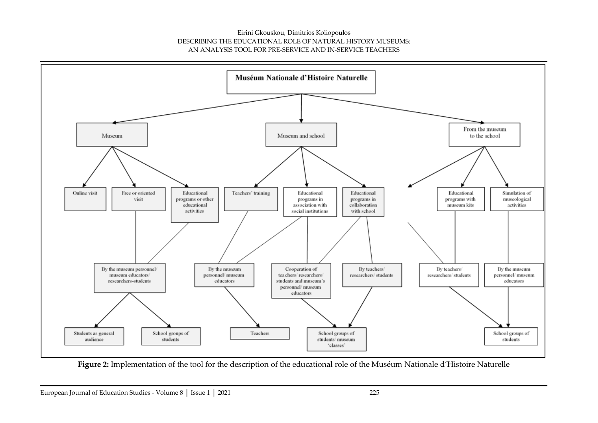

**Figure 2:** Implementation of the tool for the description of the educational role of the Muséum Nationale d'Histoire Naturelle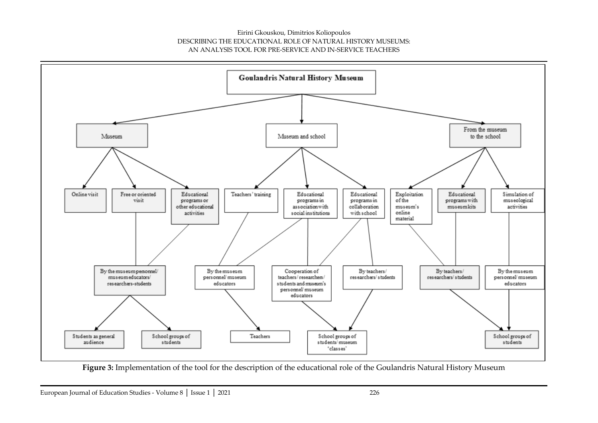

Figure 3: Implementation of the tool for the description of the educational role of the Goulandris Natural History Museum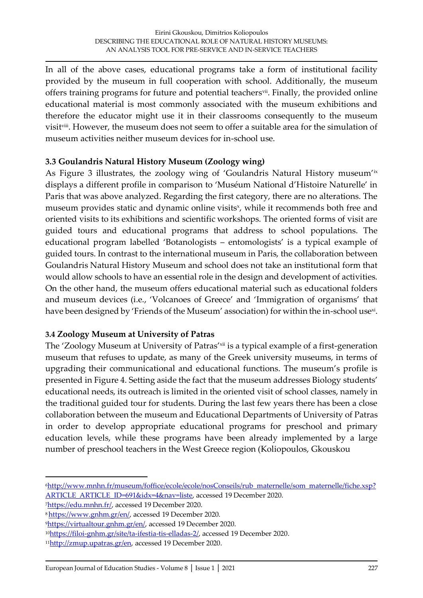In all of the above cases, educational programs take a form of institutional facility provided by the museum in full cooperation with school. Additionally, the museum offers training programs for future and potential teachers<sup>vii</sup>. Finally, the provided online educational material is most commonly associated with the museum exhibitions and therefore the educator might use it in their classrooms consequently to the museum visitviii. However, the museum does not seem to offer a suitable area for the simulation of museum activities neither museum devices for in-school use.

### **3.3 Goulandris Natural History Museum (Zoology wing)**

As Figure 3 illustrates, the zoology wing of 'Goulandris Natural History museum'<sup>ix</sup> displays a different profile in comparison to 'Muséum National d'Histoire Naturelle' in Paris that was above analyzed. Regarding the first category, there are no alterations. The museum provides static and dynamic online visits<sup>x</sup>, while it recommends both free and oriented visits to its exhibitions and scientific workshops. The oriented forms of visit are guided tours and educational programs that address to school populations. The educational program labelled 'Botanologists – entomologists' is a typical example of guided tours. In contrast to the international museum in Paris, the collaboration between Goulandris Natural History Museum and school does not take an institutional form that would allow schools to have an essential role in the design and development of activities. On the other hand, the museum offers educational material such as educational folders and museum devices (i.e., 'Volcanoes of Greece' and 'Immigration of organisms' that have been designed by 'Friends of the Museum' association) for within the in-school use $^{\mathsf{xi}}$ .

### **3.4 Zoology Museum at University of Patras**

The 'Zoology Museum at University of Patras'<sup>xii</sup> is a typical example of a first-generation museum that refuses to update, as many of the Greek university museums, in terms of upgrading their communicational and educational functions. The museum's profile is presented in Figure 4. Setting aside the fact that the museum addresses Biology students' educational needs, its outreach is limited in the oriented visit of school classes, namely in the traditional guided tour for students. During the last few years there has been a close collaboration between the museum and Educational Departments of University of Patras in order to develop appropriate educational programs for preschool and primary education levels, while these programs have been already implemented by a large number of preschool teachers in the West Greece region (Koliopoulos, Gkouskou

<sup>6</sup>[http://www.mnhn.fr/museum/foffice/ecole/ecole/nosConseils/rub\\_maternelle/som\\_maternelle/fiche.xsp?](http://www.mnhn.fr/museum/foffice/ecole/ecole/nosConseils/rub_maternelle/som_maternelle/fiche.xsp?ARTICLE_ARTICLE_ID=691&idx=4&nav=liste) [ARTICLE\\_ARTICLE\\_ID=691&idx=4&nav=liste,](http://www.mnhn.fr/museum/foffice/ecole/ecole/nosConseils/rub_maternelle/som_maternelle/fiche.xsp?ARTICLE_ARTICLE_ID=691&idx=4&nav=liste) accessed 19 December 2020.

<sup>7</sup>[https://edu.mnhn.fr/,](https://edu.mnhn.fr/) accessed 19 December 2020.

<sup>8</sup> [https://www.gnhm.gr/en/,](https://www.gnhm.gr/en/) accessed 19 December 2020.

<sup>9</sup>[https://virtualtour.gnhm.gr/en/,](https://virtualtour.gnhm.gr/en/) accessed 19 December 2020.

<sup>10</sup>[https://filoi-gnhm.gr/site/ta-ifestia-tis-elladas-2/,](https://filoi-gnhm.gr/site/ta-ifestia-tis-elladas-2/) accessed 19 December 2020.

<sup>&</sup>lt;sup>11</sup>[http://zmup.upatras.gr/en,](http://zmup.upatras.gr/en) accessed 19 December 2020.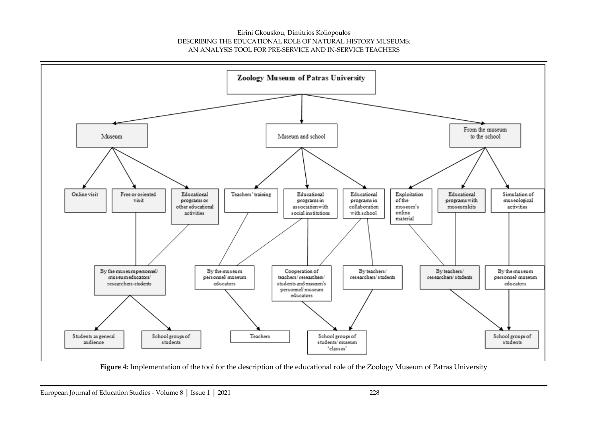

**Figure 4:** Implementation of the tool for the description of the educational role of the Zoology Museum of Patras University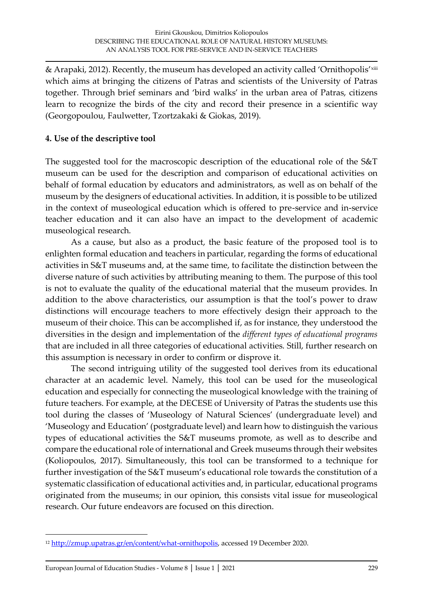& Arapaki, 2012). Recently, the museum has developed an activity called 'Ornithopolis'xiii which aims at bringing the citizens of Patras and scientists of the University of Patras together. Through brief seminars and 'bird walks' in the urban area of Patras, citizens learn to recognize the birds of the city and record their presence in a scientific way (Georgopoulou, Faulwetter, Tzortzakaki & Giokas, 2019).

## **4. Use of the descriptive tool**

The suggested tool for the macroscopic description of the educational role of the S&T museum can be used for the description and comparison of educational activities on behalf of formal education by educators and administrators, as well as on behalf of the museum by the designers of educational activities. In addition, it is possible to be utilized in the context of museological education which is offered to pre-service and in-service teacher education and it can also have an impact to the development of academic museological research.

As a cause, but also as a product, the basic feature of the proposed tool is to enlighten formal education and teachers in particular, regarding the forms of educational activities in S&T museums and, at the same time, to facilitate the distinction between the diverse nature of such activities by attributing meaning to them. The purpose of this tool is not to evaluate the quality of the educational material that the museum provides. In addition to the above characteristics, our assumption is that the tool's power to draw distinctions will encourage teachers to more effectively design their approach to the museum of their choice. This can be accomplished if, as for instance, they understood the diversities in the design and implementation of the *different types of educational programs* that are included in all three categories of educational activities. Still, further research on this assumption is necessary in order to confirm or disprove it.

The second intriguing utility of the suggested tool derives from its educational character at an academic level. Namely, this tool can be used for the museological education and especially for connecting the museological knowledge with the training of future teachers. For example, at the DECESE of University of Patras the students use this tool during the classes of 'Museology of Natural Sciences' (undergraduate level) and 'Museology and Education' (postgraduate level) and learn how to distinguish the various types of educational activities the S&T museums promote, as well as to describe and compare the educational role of international and Greek museums through their websites (Koliopoulos, 2017). Simultaneously, this tool can be transformed to a technique for further investigation of the S&T museum's educational role towards the constitution of a systematic classification of educational activities and, in particular, educational programs originated from the museums; in our opinion, this consists vital issue for museological research. Our future endeavors are focused on this direction.

<sup>&</sup>lt;sup>12</sup> [http://zmup.upatras.gr/en/content/what-ornithopolis,](http://zmup.upatras.gr/en/content/what-ornithopolis) accessed 19 December 2020.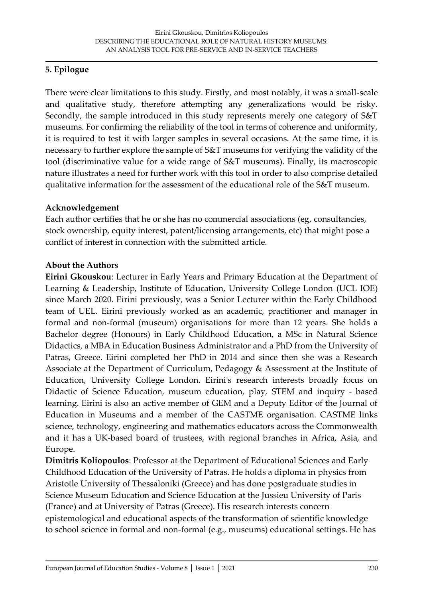# **5. Epilogue**

There were clear limitations to this study. Firstly, and most notably, it was a small-scale and qualitative study, therefore attempting any generalizations would be risky. Secondly, the sample introduced in this study represents merely one category of S&T museums. For confirming the reliability of the tool in terms of coherence and uniformity, it is required to test it with larger samples in several occasions. At the same time, it is necessary to further explore the sample of S&T museums for verifying the validity of the tool (discriminative value for a wide range of S&T museums). Finally, its macroscopic nature illustrates a need for further work with this tool in order to also comprise detailed qualitative information for the assessment of the educational role of the S&T museum.

### **Acknowledgement**

Each author certifies that he or she has no commercial associations (eg, consultancies, stock ownership, equity interest, patent/licensing arrangements, etc) that might pose a conflict of interest in connection with the submitted article.

### **About the Authors**

**Eirini Gkouskou**: Lecturer in Early Years and Primary Education at the Department of Learning & Leadership, Institute of Education, University College London (UCL IOE) since March 2020. Eirini previously, was a Senior Lecturer within the Early Childhood team of UEL. Eirini previously worked as an academic, practitioner and manager in formal and non-formal (museum) organisations for more than 12 years. She holds a Bachelor degree (Honours) in Early Childhood Education, a MSc in Natural Science Didactics, a MBA in Education Business Administrator and a PhD from the University of Patras, Greece. Eirini completed her PhD in 2014 and since then she was a Research Associate at the Department of Curriculum, Pedagogy & Assessment at the Institute of Education, University College London. Eirini's research interests broadly focus on Didactic of Science Education, museum education, play, STEM and inquiry - based learning. Eirini is also an active member of GEM and a Deputy Editor of the Journal of Education in Museums and a member of the CASTME organisation. CASTME links science, technology, engineering and mathematics educators across the Commonwealth and it has a UK-based board of trustees, with regional branches in Africa, Asia, and Europe.

**Dimitris Koliopoulos**: Professor at the Department of Educational Sciences and Early Childhood Education of the University of Patras. He holds a diploma in physics from Aristotle University of Thessaloniki (Greece) and has done postgraduate studies in Science Museum Education and Science Education at the Jussieu University of Paris (France) and at University of Patras (Greece). His research interests concern epistemological and educational aspects of the transformation of scientific knowledge to school science in formal and non-formal (e.g., museums) educational settings. He has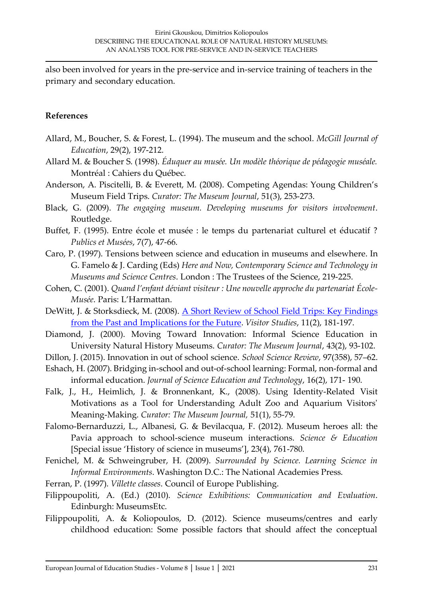also been involved for years in the pre-service and in-service training of teachers in the primary and secondary education.

### **References**

- Allard, M., Boucher, S. & Forest, L. (1994). The museum and the school. *McGill Journal of Education*, 29(2), 197-212.
- Allard M. & Boucher S. (1998). *Éduquer au musée. Un modèle théorique de pédagogie muséale.* Montréal : Cahiers du Québec.
- Anderson, A. Piscitelli, B. & Everett, M. (2008). Competing Agendas: Young Children's Museum Field Trips. *Curator: The Museum Journal*, 51(3), 253-273.
- Black, G. (2009). *The engaging museum. Developing museums for visitors involvement*. Routledge.
- Buffet, F. (1995). Entre école et musée : le temps du partenariat culturel et éducatif ? *Publics et Musées*, 7(7), 47-66.
- Caro, P. (1997). Tensions between science and education in museums and elsewhere. In G. Famelo & J. Carding (Eds) *Here and Now, Contemporary Science and Technology in Museums and Science Centres*. London : The Trustees of the Science, 219-225.
- Cohen, C. (2001). *Quand l'enfant déviant visiteur : Une nouvelle approche du partenariat École-Musée*. Paris: L'Harmattan.
- DeWitt, J. & Storksdieck, M. (2008). A Short Review of School Field Trips: Key Findings [from the Past and Implications for the Future.](http://www.tandfonline.com/doi/abs/10.1080/10645570802355562) *Visitor Studies*, 11(2), 181-197.
- Diamond, J. (2000). Moving Toward Innovation: Informal Science Education in University Natural History Museums. *Curator: The Museum Journal*, 43(2), 93-102.
- Dillon, J. (2015). Innovation in out of school science. *School Science Review*, 97(358), 57–62.
- Eshach, H. (2007). Bridging in-school and out-of-school learning: Formal, non-formal and informal education. *Journal of Science Education and Technology*, 16(2), 171- 190.
- Falk, J., H., Heimlich, J. & Bronnenkant, K., (2008). Using Identity-Related Visit Motivations as a Tool for Understanding Adult Zoo and Aquarium Visitors' Meaning-Making. *Curator: The Museum Journal,* 51(1), 55-79.
- Falomo-Bernarduzzi, L., Albanesi, G. & Bevilacqua, F. (2012). Museum heroes all: the Pavia approach to school-science museum interactions. *Science & Education* [Special issue 'History of science in museums'], 23(4), 761-780.
- Fenichel, M. & Schweingruber, H. (2009). *Surrounded by Science. Learning Science in Informal Environments*. Washington D.C.: The National Academies Press.
- Ferran, P. (1997). *Villette classes*. Council of Europe Publishing.
- Filippoupoliti, A. (Ed.) (2010). *Science Exhibitions: Communication and Evaluation*. Edinburgh: MuseumsEtc.
- Filippoupoliti, A. & Koliopoulos, D. (2012). Science museums/centres and early childhood education: Some possible factors that should affect the conceptual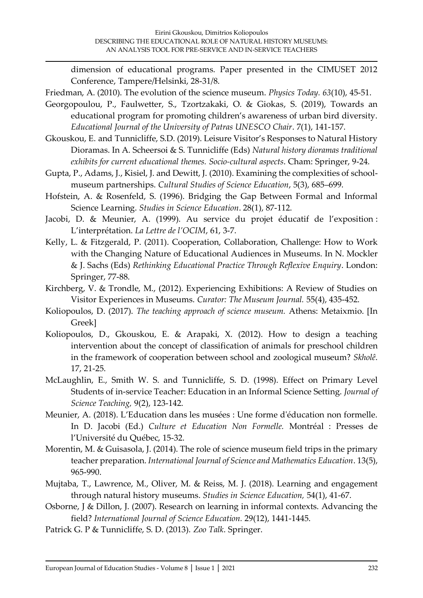dimension of educational programs. Paper presented in the CIMUSET 2012 Conference, Tampere/Helsinki, 28-31/8.

- Friedman, A. (2010). The evolution of the science museum. *Physics Today. 63*(10), 45-51.
- Georgopoulou, P., Faulwetter, S., Tzortzakaki, O. & Giokas, S. (2019), Towards an educational program for promoting children's awareness of urban bird diversity. *Educational Journal of the University of Patras UNESCO Chair*. 7(1), 141-157.
- Gkouskou, E. and Tunnicliffe, S.D. (2019). Leisure Visitor's Responses to Natural History Dioramas. In A. Scheersoi & S. Tunnicliffe (Eds) *Natural history dioramas traditional exhibits for current educational themes. Socio-cultural aspects*. Cham: Springer, 9-24.
- Gupta, P., Adams, J., Kisiel, J. and Dewitt, J. (2010). Examining the complexities of schoolmuseum partnerships. *Cultural Studies of Science Education*, 5(3), 685–699.
- Hofstein, A. & Rosenfeld, S. (1996). Bridging the Gap Between Formal and Informal Science Learning. *Studies in Science Education*. 28(1), 87-112.
- Jacobi, D. & Meunier, A. (1999). Au service du projet éducatif de l'exposition : L'interprétation. *La Lettre de l'OCIM*, 61, 3-7.
- Kelly, L. & Fitzgerald, P. (2011). Cooperation, Collaboration, Challenge: How to Work with the Changing Nature of Educational Audiences in Museums. In N. Mockler & J. Sachs (Eds) *Rethinking Educational Practice Through Reflexive Enquiry*. London: Springer, 77-88.
- Kirchberg, V. & Trondle, M., (2012). Experiencing Exhibitions: A Review of Studies on Visitor Experiences in Museums. *Curator: The Museum Journal.* 55(4), 435-452.
- Koliopoulos, D. (2017). *The teaching approach of science museum.* Athens: Metaixmio. [In Greek]
- Koliopoulos, D., Gkouskou, E. & Arapaki, X. (2012). How to design a teaching intervention about the concept of classification of animals for preschool children in the framework of cooperation between school and zoological museum? *Skholê*. 17, 21-25.
- McLaughlin, E., Smith W. S. and Tunnicliffe, S. D. (1998). Effect on Primary Level Students of in-service Teacher: Education in an Informal Science Setting. *Journal of Science Teaching,* 9(2), 123-142.
- Meunier, A. (2018). L'Education dans les musées : Une forme d'éducation non formelle. In D. Jacobi (Ed.) *Culture et Education Non Formelle.* Montréal : Presses de l'Université du Québec, 15-32.
- Morentin, M. & Guisasola, J. (2014). The role of science museum field trips in the primary teacher preparation. *International Journal of Science and Mathematics Education*. 13(5), 965-990.
- Mujtaba, Τ., Lawrence, M., Oliver, M. & Reiss, M. J. (2018). Learning and engagement through natural history museums. *Studies in Science Education,* 54(1), 41-67.
- Osborne, J & Dillon, J. (2007). Research on learning in informal contexts. Advancing the field? *International Journal of Science Education.* 29(12), 1441-1445.
- Patrick G. P & Tunnicliffe, S. D. (2013). *Zoo Talk*. Springer.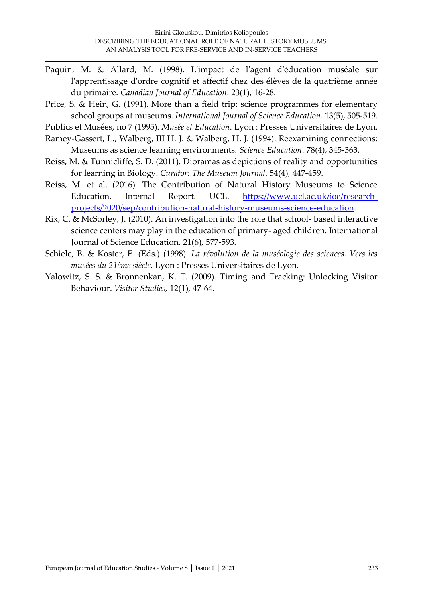- Paquin, M. & Allard, M. (1998). L'impact de l'agent d'éducation muséale sur l'apprentissage d'ordre cognitif et affectif chez des élèves de la quatrième année du primaire. *Canadian Journal of Education*. 23(1), 16-28.
- Price, S. & Hein, G. (1991). More than a field trip: science programmes for elementary school groups at museums. *International Journal of Science Education*. 13(5), 505-519.

Publics et Musées, no 7 (1995). *Musée et Education*. Lyon : Presses Universitaires de Lyon.

- Ramey-Gassert, L., Walberg, III H. J. & Walberg, H. J. (1994). Reexamining connections: Museums as science learning environments. *Science Education*. 78(4), 345-363.
- Reiss, M. & Tunnicliffe, S. D. (2011). Dioramas as depictions of reality and opportunities for learning in Biology. *Curator: The Museum Journal*, 54(4), 447-459.
- Reiss, M. et al. (2016). The Contribution of Natural History Museums to Science Education. Internal Report. UCL. [https://www.ucl.ac.uk/ioe/research](https://www.ucl.ac.uk/ioe/research-projects/2020/sep/contribution-natural-history-museums-science-education)[projects/2020/sep/contribution-natural-history-museums-science-education.](https://www.ucl.ac.uk/ioe/research-projects/2020/sep/contribution-natural-history-museums-science-education)
- Rix, C. & McSorley, J. (2010). An investigation into the role that school- based interactive science centers may play in the education of primary- aged children. International Journal of Science Education*.* 21(6), 577-593.
- Schiele, B. & Koster, E. (Eds.) (1998). *La révolution de la muséologie des sciences. Vers les musées du 21ème siècle*. Lyon : Presses Universitaires de Lyon.
- Yalowitz, S .S. & Bronnenkan, K. T. (2009). Timing and Tracking: Unlocking Visitor Behaviour. *Visitor Studies,* 12(1), 47-64.